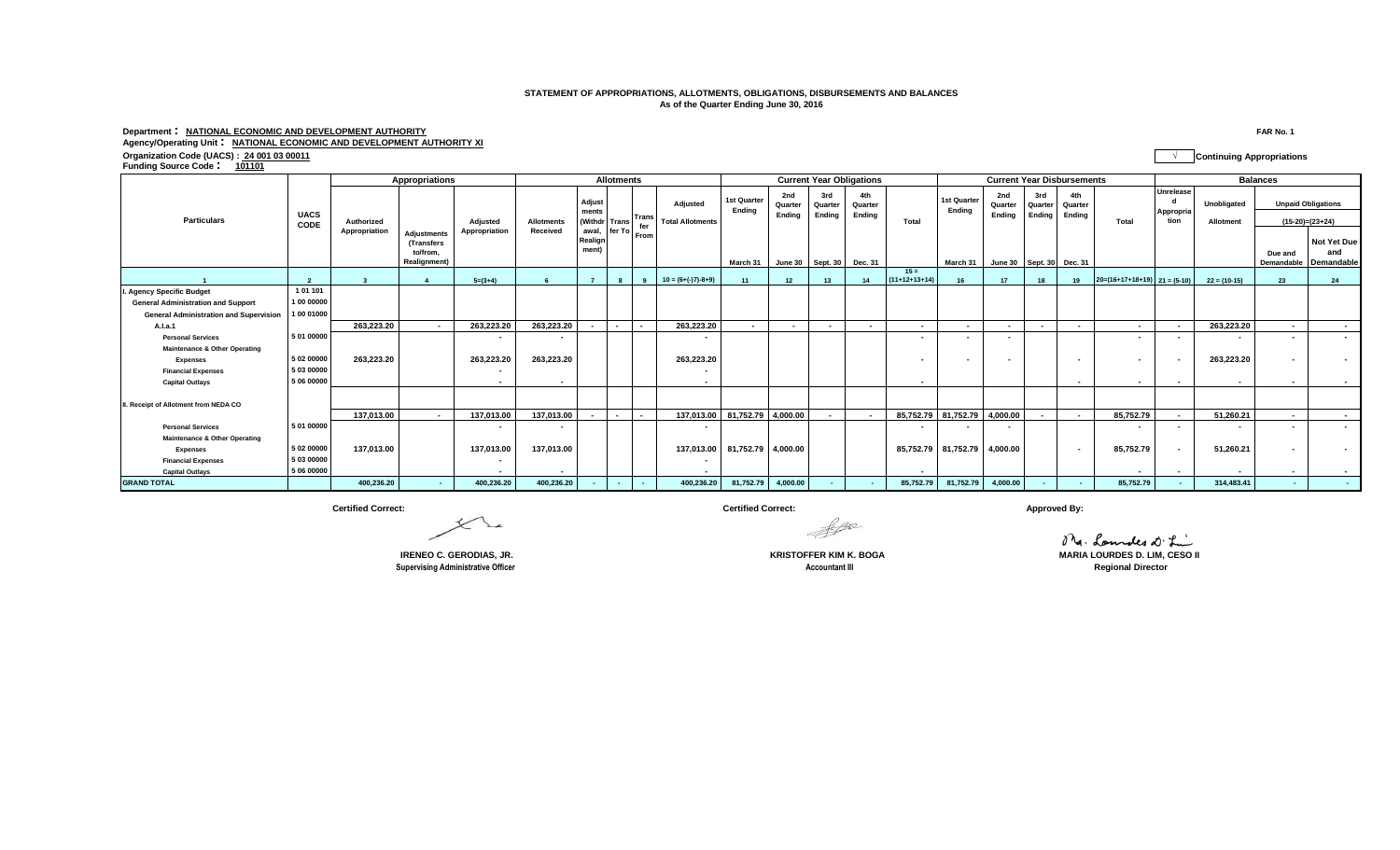## **STATEMENT OF APPROPRIATIONS, ALLOTMENTS, OBLIGATIONS, DISBURSEMENTS AND BALANCES As of the Quarter Ending June 30, 2016**

## **Department : NATIONAL ECONOMIC AND DEVELOPMENT AUTHORITY FAR No. 1**

## **Agency/Operating Unit : NATIONAL ECONOMIC AND DEVELOPMENT AUTHORITY XI**

**Organization Code (UACS) : 24 001 03 00011 √ Continuing Appropriations Funding Source Code : <sup>101101</sup>**

|                                               | <b>UACS</b><br>CODE | Appropriations              | <b>Allotments</b>                                                          |                                  |                               |                            |                          | <b>Current Year Obligations</b> |                                            |                               |                          |                          | <b>Current Year Disbursements</b> |                           |                          |                          |                          | <b>Balances</b>                      |                                |                                |                          |                          |                                                |
|-----------------------------------------------|---------------------|-----------------------------|----------------------------------------------------------------------------|----------------------------------|-------------------------------|----------------------------|--------------------------|---------------------------------|--------------------------------------------|-------------------------------|--------------------------|--------------------------|-----------------------------------|---------------------------|--------------------------|--------------------------|--------------------------|--------------------------------------|--------------------------------|--------------------------------|--------------------------|--------------------------|------------------------------------------------|
| <b>Particulars</b>                            |                     | Authorized<br>Appropriation |                                                                            | <b>Adiusted</b><br>Appropriation | <b>Allotments</b><br>Received | Adjust<br>ments<br>(Withdr | Trans                    | <b>Trans</b><br>fer             | <b>Adjusted</b><br><b>Total Allotments</b> | 1st Quarter<br>Endina         | 2nd<br>Quarter<br>Endina | 3rd<br>Quarter<br>Ending | 4th<br>Quarter<br><b>Ending</b>   | Total                     | 1st Quarter<br>Endina    | 2nd<br>Quarter<br>Endina | 3rd<br>Quarter<br>Endina | 4 <sub>th</sub><br>Quarter<br>Endina | Total                          | Unrelease<br>Appropria<br>tion | Unobligated<br>Allotment |                          | <b>Unpaid Obligations</b><br>$(15-20)=(23+24)$ |
|                                               |                     |                             | <b>Adjustments</b><br><b>(Transfers</b><br>to/from.<br><b>Realignment)</b> |                                  |                               | awal,<br>Realign<br>ment)  |                          | fer To   <sub>From</sub> I      |                                            | March 31                      | June 30                  | <b>Sept. 30</b>          | Dec. 31                           |                           | March 31                 | June 30 Sept. 30         |                          | <b>Dec. 31</b>                       |                                |                                |                          | Due and<br>Demandable    | Not Yet Due<br>and<br>Demandable               |
|                                               |                     |                             |                                                                            | $5=(3+4)$                        |                               |                            |                          |                                 | $10 = (6+(-17)-8+9)$                       | 11                            | 12                       | 13                       |                                   | $15 =$<br>$(11+12+13+14)$ | 16                       | 17                       | 18                       | 19                                   | $20=(16+17+18+19)$ 21 = (5-10) |                                | $22 = (10-15)$           | 23                       | 24                                             |
| <b>Agency Specific Budget</b>                 | 101101              |                             |                                                                            |                                  |                               |                            |                          |                                 |                                            |                               |                          |                          |                                   |                           |                          |                          |                          |                                      |                                |                                |                          |                          |                                                |
| <b>General Administration and Support</b>     | 1 00 00000          |                             |                                                                            |                                  |                               |                            |                          |                                 |                                            |                               |                          |                          |                                   |                           |                          |                          |                          |                                      |                                |                                |                          |                          |                                                |
| <b>General Administration and Supervision</b> | 1 00 01000          |                             |                                                                            |                                  |                               |                            |                          |                                 |                                            |                               |                          |                          |                                   |                           |                          |                          |                          |                                      |                                |                                |                          |                          |                                                |
| A.I.a.1                                       |                     | 263,223.20                  | $\sim$                                                                     | 263,223.20                       | 263,223.20                    |                            | $\overline{\phantom{a}}$ | $\sim$                          | 263,223.20                                 | $\sim$                        |                          |                          | $\overline{a}$                    | $\sim$                    | $\sim$                   | $\overline{\phantom{a}}$ | $\overline{\phantom{a}}$ |                                      | $\blacksquare$                 | $\overline{\phantom{a}}$       | 263,223.20               |                          | $\sim$                                         |
| <b>Personal Services</b>                      | 5 01 00000          |                             |                                                                            |                                  | $\sim$                        |                            |                          |                                 | $\overline{\phantom{a}}$                   |                               |                          |                          |                                   | $\overline{\phantom{a}}$  | $\overline{\phantom{a}}$ |                          |                          |                                      | $\blacksquare$                 | $\sim$                         |                          |                          | $\sim$                                         |
| <b>Maintenance &amp; Other Operating</b>      |                     |                             |                                                                            |                                  |                               |                            |                          |                                 |                                            |                               |                          |                          |                                   |                           |                          |                          |                          |                                      |                                |                                |                          |                          |                                                |
| <b>Expenses</b>                               | 5 02 00000          | 263,223.20                  |                                                                            | 263,223.20                       | 263,223.20                    |                            |                          |                                 | 263,223.20                                 |                               |                          |                          |                                   | $\blacksquare$            |                          |                          |                          |                                      | $\overline{\phantom{a}}$       |                                | 263,223.20               |                          |                                                |
| <b>Financial Expenses</b>                     | 5 03 00000          |                             |                                                                            |                                  |                               |                            |                          |                                 |                                            |                               |                          |                          |                                   |                           |                          |                          |                          |                                      |                                |                                |                          |                          |                                                |
| <b>Capital Outlays</b>                        | 5 06 00000          |                             |                                                                            | $\overline{a}$                   |                               |                            |                          |                                 |                                            |                               |                          |                          |                                   | $\sim$                    |                          |                          |                          |                                      | $\overline{\phantom{a}}$       |                                |                          |                          |                                                |
| II. Receipt of Allotment from NEDA CO         |                     |                             |                                                                            |                                  |                               |                            |                          |                                 |                                            |                               |                          |                          |                                   |                           |                          |                          |                          |                                      |                                |                                |                          |                          |                                                |
|                                               |                     | 137.013.00                  |                                                                            | 137,013.00                       | 137,013.00                    |                            |                          | $\sim$                          | 137.013.00                                 | 81.752.79                     | 4,000.00                 |                          |                                   | 85,752.79                 | 81.752.79                | 4,000.00                 |                          |                                      | 85,752.79                      |                                | 51,260.21                | $\overline{\phantom{a}}$ | $\sim$                                         |
| <b>Personal Services</b>                      | 5 01 00000          |                             |                                                                            | $\sim$                           | $\overline{\phantom{a}}$      |                            |                          |                                 |                                            |                               |                          |                          |                                   | $\overline{\phantom{a}}$  | $\overline{\phantom{a}}$ |                          |                          |                                      | $\blacksquare$                 | $\sim$                         | $\overline{\phantom{a}}$ | $\overline{\phantom{a}}$ | $\sim$                                         |
| <b>Maintenance &amp; Other Operating</b>      | 5 02 00000          |                             |                                                                            |                                  |                               |                            |                          |                                 |                                            |                               |                          |                          |                                   |                           |                          |                          |                          |                                      |                                |                                |                          |                          |                                                |
| <b>Expenses</b>                               | 503 00000           | 137,013.00                  |                                                                            | 137,013.00                       | 137,013.00                    |                            |                          |                                 |                                            | 137,013.00 81,752.79 4,000.00 |                          |                          |                                   |                           | 85,752.79 81,752.79      | 4,000.00                 |                          | $\overline{a}$                       | 85,752.79                      | $\sim$                         | 51,260.21                |                          |                                                |
| <b>Financial Expenses</b>                     | 5 06 00000          |                             |                                                                            | $\overline{\phantom{a}}$         |                               |                            |                          |                                 |                                            |                               |                          |                          |                                   |                           |                          |                          |                          |                                      |                                |                                |                          |                          |                                                |
| <b>Capital Outlays</b>                        |                     |                             |                                                                            | $\overline{\phantom{a}}$         | $\overline{\phantom{a}}$      |                            |                          |                                 |                                            |                               |                          |                          |                                   | $\sim$                    |                          |                          |                          |                                      | $\overline{\phantom{a}}$       | $\sim$                         |                          | $\overline{\phantom{a}}$ | $\sim$                                         |
| <b>GRAND TOTAL</b>                            |                     | 400,236.20                  |                                                                            | 400,236.20                       | 400,236.20                    |                            |                          |                                 | 400,236.20                                 | 81,752.79                     | 4,000.00                 |                          |                                   | 85,752.79                 | 81,752.79                | 4,000.00                 |                          |                                      | 85,752.79                      |                                | 314,483.41               |                          |                                                |

Certified Correct:<br> **Certified Correct:**<br> **Certified Correct:**<br> *Approved By:*  $K$ 

**Supervising Administrative Officer Accountant III Regional Director Accountant III** 

Mg. Loundes D. Lui **IRENEO C. GERODIAS, JR. KRISTOFFER KIM K. BOGA MARIA LOURDES D. LIM, CESO II**